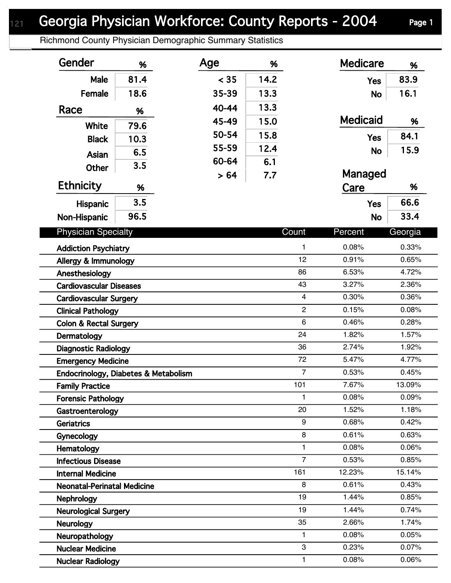## Georgia Physician Workforce: County Reports - 2004 Page 1

Richmond County Physician Demographic Summary Statistics

| Gender                               | %    | Age   | %    |                         | <b>Medicare</b> | %       |  |
|--------------------------------------|------|-------|------|-------------------------|-----------------|---------|--|
| Male                                 | 81.4 | < 35  | 14.2 |                         | <b>Yes</b>      | 83.9    |  |
| Female                               | 18.6 | 35-39 | 13.3 |                         | <b>No</b>       | 16.1    |  |
| Race                                 | %    | 40-44 | 13.3 |                         |                 |         |  |
|                                      |      | 45-49 | 15.0 |                         | <b>Medicaid</b> | %       |  |
| White                                | 79.6 | 50-54 | 15.8 |                         |                 | 84.1    |  |
| <b>Black</b>                         | 10.3 | 55-59 | 12.4 |                         | <b>Yes</b>      |         |  |
| Asian                                | 6.5  | 60-64 | 6.1  |                         | <b>No</b>       | 15.9    |  |
| <b>Other</b>                         | 3.5  | > 64  | 7.7  |                         | Managed         |         |  |
| <b>Ethnicity</b>                     | %    |       |      |                         | Care            | %       |  |
| <b>Hispanic</b>                      | 3.5  |       |      |                         | <b>Yes</b>      | 66.6    |  |
| Non-Hispanic                         | 96.5 |       |      |                         | <b>No</b>       | 33.4    |  |
|                                      |      |       |      |                         |                 |         |  |
| <b>Physician Specialty</b>           |      |       |      | Count                   | Percent         | Georgia |  |
| <b>Addiction Psychiatry</b>          |      |       |      | 1                       | 0.08%           | 0.33%   |  |
| Allergy & Immunology                 |      |       |      | 12                      | 0.91%           | 0.65%   |  |
| Anesthesiology                       |      |       |      | 86                      | 6.53%           | 4.72%   |  |
| <b>Cardiovascular Diseases</b>       |      |       |      | 43                      | 3.27%           | 2.36%   |  |
| <b>Cardiovascular Surgery</b>        |      |       |      | $\overline{\mathbf{4}}$ | 0.30%           | 0.36%   |  |
| <b>Clinical Pathology</b>            |      |       |      | $\overline{c}$          | 0.15%           | 0.08%   |  |
| <b>Colon &amp; Rectal Surgery</b>    |      |       |      | $6\phantom{1}$          | 0.46%           | 0.28%   |  |
| Dermatology                          |      |       |      | 24                      | 1.82%           | 1.57%   |  |
| <b>Diagnostic Radiology</b>          |      |       |      | 36                      | 2.74%           | 1.92%   |  |
| <b>Emergency Medicine</b>            |      |       |      | 72                      | 5.47%           | 4.77%   |  |
| Endocrinology, Diabetes & Metabolism |      |       |      | $\overline{7}$          | 0.53%           | 0.45%   |  |
| <b>Family Practice</b>               |      |       |      | 101                     | 7.67%           | 13.09%  |  |
| <b>Forensic Pathology</b>            |      |       |      | $\mathbf{1}$            | 0.08%           | 0.09%   |  |
| Gastroenterology                     |      |       |      | 20                      | 1.52%           | 1.18%   |  |
| Geriatrics                           |      |       |      | 9                       | 0.68%           | 0.42%   |  |
| <b>Gynecology</b>                    |      |       |      | 8                       | 0.61%           | 0.63%   |  |
| Hematology                           |      |       |      | $\mathbf{1}$            | 0.08%           | 0.06%   |  |
| <b>Infectious Disease</b>            |      |       |      | $\overline{7}$          | 0.53%           | 0.85%   |  |
| <b>Internal Medicine</b>             |      |       |      | 161                     | 12.23%          | 15.14%  |  |
| <b>Neonatal-Perinatal Medicine</b>   |      |       |      | 8                       | 0.61%           | 0.43%   |  |
| <b>Nephrology</b>                    |      |       |      | 19                      | 1.44%           | 0.85%   |  |
| <b>Neurological Surgery</b>          |      |       |      | 19                      | 1.44%           | 0.74%   |  |
| <b>Neurology</b>                     |      |       |      | 35                      | 2.66%           | 1.74%   |  |
| Neuropathology                       |      |       |      | $\mathbf{1}$            | 0.08%           | 0.05%   |  |
| <b>Nuclear Medicine</b>              |      |       |      | 3                       | 0.23%           | 0.07%   |  |
| <b>Nuclear Radiology</b>             |      |       |      | $\mathbf{1}$            | 0.08%           | 0.06%   |  |